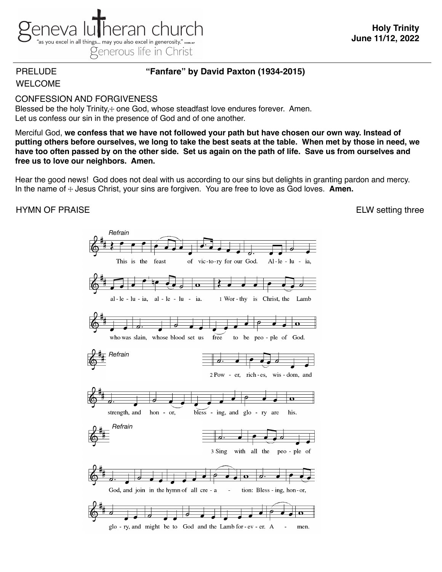

# PRELUDE **"Fanfare" by David Paxton (1934-2015)**

# WELCOME

## CONFESSION AND FORGIVENESS

Blessed be the holy Trinity, $+$  one God, whose steadfast love endures forever. Amen. Let us confess our sin in the presence of God and of one another.

Merciful God, **we confess that we have not followed your path but have chosen our own way. Instead of putting others before ourselves, we long to take the best seats at the table. When met by those in need, we have too often passed by on the other side. Set us again on the path of life. Save us from ourselves and free us to love our neighbors. Amen.**

Hear the good news! God does not deal with us according to our sins but delights in granting pardon and mercy. In the name of  $\pm$  Jesus Christ, your sins are forgiven. You are free to love as God loves. **Amen.** 

# HYMN OF PRAISEELW setting three

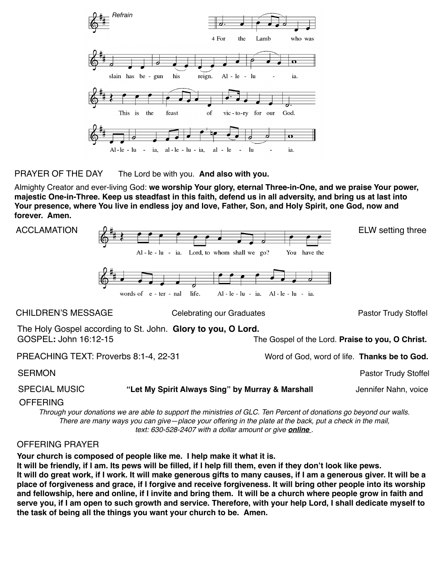

PRAYER OF THE DAY The Lord be with you. **And also with you.**

Almighty Creator and ever-living God: **we worship Your glory, eternal Three-in-One, and we praise Your power, majestic One-in-Three. Keep us steadfast in this faith, defend us in all adversity, and bring us at last into Your presence, where You live in endless joy and love, Father, Son, and Holy Spirit, one God, now and forever. Amen.**



OFFERING

*Through your donations we are able to support the ministries of GLC. Ten Percent of donations go beyond our walls. There are many ways you can give—place your offering in the plate at the back, put a check in the mail, text: 630-528-2407 with a dollar amount or give [online](https://secure.myvanco.com/YNE6) .*

### OFFERING PRAYER

**Your church is composed of people like me. I help make it what it is.**

**It will be friendly, if I am. Its pews will be filled, if I help fill them, even if they don't look like pews. It will do great work, if I work. It will make generous gifts to many causes, if I am a generous giver. It will be a place of forgiveness and grace, if I forgive and receive forgiveness. It will bring other people into its worship and fellowship, here and online, if I invite and bring them. It will be a church where people grow in faith and serve you, if I am open to such growth and service. Therefore, with your help Lord, I shall dedicate myself to the task of being all the things you want your church to be. Amen.**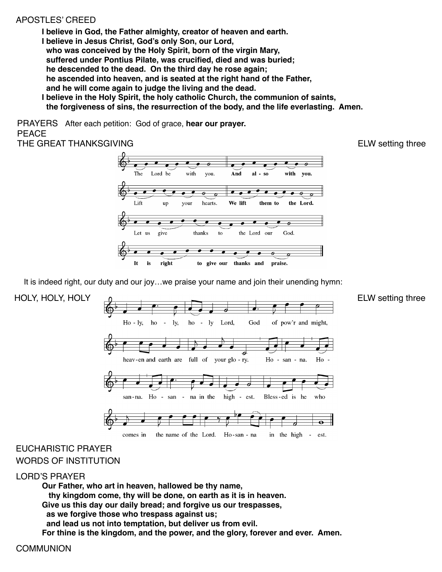## APOSTLES' CREED

**I believe in God, the Father almighty, creator of heaven and earth. I believe in Jesus Christ, God's only Son, our Lord, who was conceived by the Holy Spirit, born of the virgin Mary, suffered under Pontius Pilate, was crucified, died and was buried; he descended to the dead. On the third day he rose again; he ascended into heaven, and is seated at the right hand of the Father, and he will come again to judge the living and the dead.**

**I believe in the Holy Spirit, the holy catholic Church, the communion of saints, the forgiveness of sins, the resurrection of the body, and the life everlasting. Amen.**

PRAYERS After each petition: God of grace, **hear our prayer.** PEACE

THE GREAT THANKSGIVING **ELW** setting three



It is indeed right, our duty and our joy...we praise your name and join their unending hymn:



# EUCHARISTIC PRAYER WORDS OF INSTITUTION

### LORD'S PRAYER

**Our Father, who art in heaven, hallowed be thy name, thy kingdom come, thy will be done, on earth as it is in heaven. Give us this day our daily bread; and forgive us our trespasses, as we forgive those who trespass against us; and lead us not into temptation, but deliver us from evil. For thine is the kingdom, and the power, and the glory, forever and ever. Amen.**

**COMMUNION**